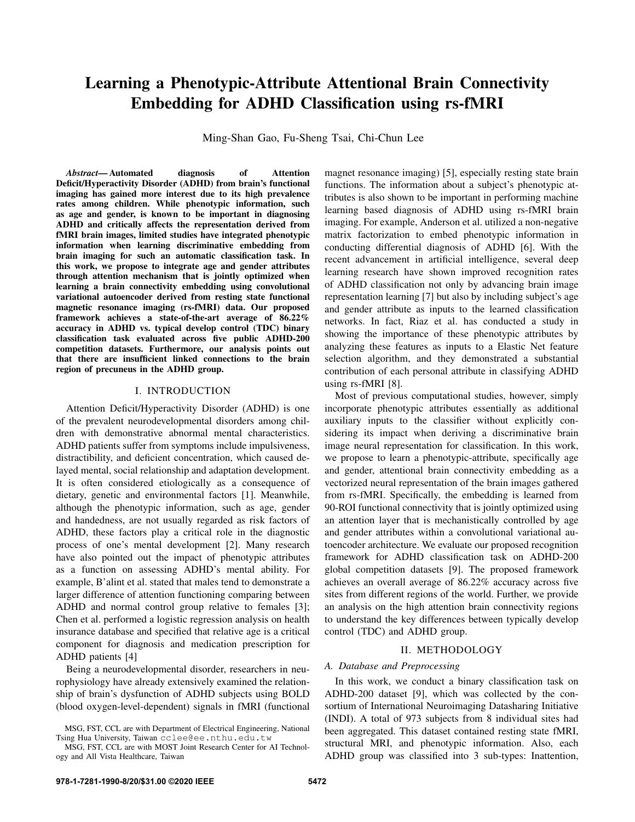# Learning a Phenotypic-Attribute Attentional Brain Connectivity Embedding for ADHD Classification using rs-fMRI

Ming-Shan Gao, Fu-Sheng Tsai, Chi-Chun Lee

*Abstract*— Automated diagnosis of Attention Deficit/Hyperactivity Disorder (ADHD) from brain's functional imaging has gained more interest due to its high prevalence rates among children. While phenotypic information, such as age and gender, is known to be important in diagnosing ADHD and critically affects the representation derived from fMRI brain images, limited studies have integrated phenotypic information when learning discriminative embedding from brain imaging for such an automatic classification task. In this work, we propose to integrate age and gender attributes through attention mechanism that is jointly optimized when learning a brain connectivity embedding using convolutional variational autoencoder derived from resting state functional magnetic resonance imaging (rs-fMRI) data. Our proposed framework achieves a state-of-the-art average of 86.22% accuracy in ADHD vs. typical develop control (TDC) binary classification task evaluated across five public ADHD-200 competition datasets. Furthermore, our analysis points out that there are insufficient linked connections to the brain region of precuneus in the ADHD group.

## I. INTRODUCTION

Attention Deficit/Hyperactivity Disorder (ADHD) is one of the prevalent neurodevelopmental disorders among children with demonstrative abnormal mental characteristics. ADHD patients suffer from symptoms include impulsiveness, distractibility, and deficient concentration, which caused delayed mental, social relationship and adaptation development. It is often considered etiologically as a consequence of dietary, genetic and environmental factors [1]. Meanwhile, although the phenotypic information, such as age, gender and handedness, are not usually regarded as risk factors of ADHD, these factors play a critical role in the diagnostic process of one's mental development [2]. Many research have also pointed out the impact of phenotypic attributes as a function on assessing ADHD's mental ability. For example, B'alint et al. stated that males tend to demonstrate a larger difference of attention functioning comparing between ADHD and normal control group relative to females [3]; Chen et al. performed a logistic regression analysis on health insurance database and specified that relative age is a critical component for diagnosis and medication prescription for ADHD patients [4]

Being a neurodevelopmental disorder, researchers in neurophysiology have already extensively examined the relationship of brain's dysfunction of ADHD subjects using BOLD (blood oxygen-level-dependent) signals in fMRI (functional magnet resonance imaging) [5], especially resting state brain functions. The information about a subject's phenotypic attributes is also shown to be important in performing machine learning based diagnosis of ADHD using rs-fMRI brain imaging. For example, Anderson et al. utilized a non-negative matrix factorization to embed phenotypic information in conducting differential diagnosis of ADHD [6]. With the recent advancement in artificial intelligence, several deep learning research have shown improved recognition rates of ADHD classification not only by advancing brain image representation learning [7] but also by including subject's age and gender attribute as inputs to the learned classification networks. In fact, Riaz et al. has conducted a study in showing the importance of these phenotypic attributes by analyzing these features as inputs to a Elastic Net feature selection algorithm, and they demonstrated a substantial contribution of each personal attribute in classifying ADHD using rs-fMRI [8].

Most of previous computational studies, however, simply incorporate phenotypic attributes essentially as additional auxiliary inputs to the classifier without explicitly considering its impact when deriving a discriminative brain image neural representation for classification. In this work, we propose to learn a phenotypic-attribute, specifically age and gender, attentional brain connectivity embedding as a vectorized neural representation of the brain images gathered from rs-fMRI. Specifically, the embedding is learned from 90-ROI functional connectivity that is jointly optimized using an attention layer that is mechanistically controlled by age and gender attributes within a convolutional variational autoencoder architecture. We evaluate our proposed recognition framework for ADHD classification task on ADHD-200 global competition datasets [9]. The proposed framework achieves an overall average of 86.22% accuracy across five sites from different regions of the world. Further, we provide an analysis on the high attention brain connectivity regions to understand the key differences between typically develop control (TDC) and ADHD group.

# II. METHODOLOGY

# *A. Database and Preprocessing*

In this work, we conduct a binary classification task on ADHD-200 dataset [9], which was collected by the consortium of International Neuroimaging Datasharing Initiative (INDI). A total of 973 subjects from 8 individual sites had been aggregated. This dataset contained resting state fMRI, structural MRI, and phenotypic information. Also, each ADHD group was classified into 3 sub-types: Inattention,

MSG, FST, CCL are with Department of Electrical Engineering, National Tsing Hua University, Taiwan cclee@ee.nthu.edu.tw

MSG, FST, CCL are with MOST Joint Research Center for AI Technology and All Vista Healthcare, Taiwan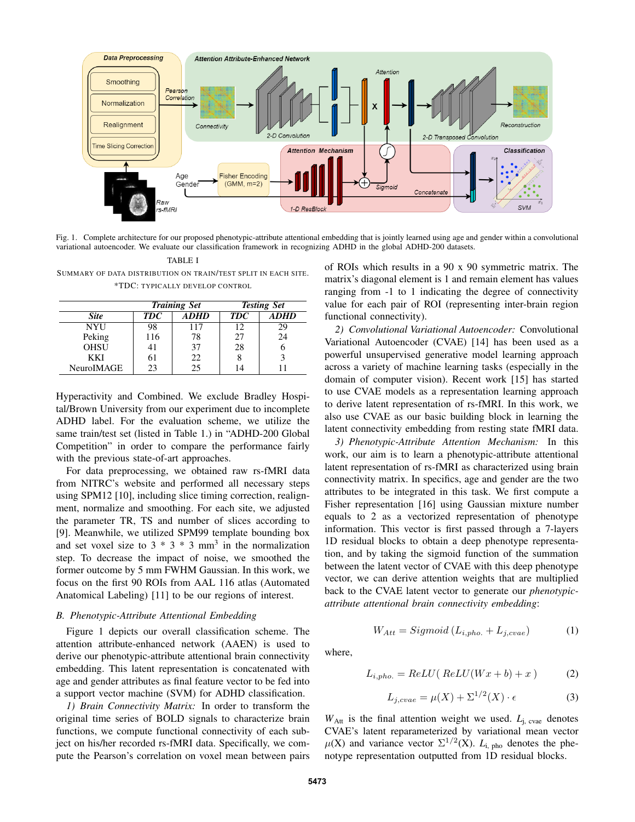

Fig. 1. Complete architecture for our proposed phenotypic-attribute attentional embedding that is jointly learned using age and gender within a convolutional variational autoencoder. We evaluate our classification framework in recognizing ADHD in the global ADHD-200 datasets.

## TABLE I

SUMMARY OF DATA DISTRIBUTION ON TRAIN/TEST SPLIT IN EACH SITE. \*TDC: TYPICALLY DEVELOP CONTROL

|             |            | <b>Training Set</b> | <b>Testing Set</b> |      |  |  |  |
|-------------|------------|---------------------|--------------------|------|--|--|--|
| <b>Site</b> | <b>TDC</b> | <i><b>ADHD</b></i>  | <b>TDC</b>         | ADHD |  |  |  |
| <b>NYU</b>  | 98         | 117                 | 12                 | 29   |  |  |  |
| Peking      | 116        | 78                  | 27                 | 24   |  |  |  |
| <b>OHSU</b> | 41         | 37                  | 28                 |      |  |  |  |
| <b>KKI</b>  | 61         | 22                  |                    |      |  |  |  |
| NeuroIMAGE  | 23         | 25                  |                    |      |  |  |  |

Hyperactivity and Combined. We exclude Bradley Hospital/Brown University from our experiment due to incomplete ADHD label. For the evaluation scheme, we utilize the same train/test set (listed in Table 1.) in "ADHD-200 Global Competition" in order to compare the performance fairly with the previous state-of-art approaches.

For data preprocessing, we obtained raw rs-fMRI data from NITRC's website and performed all necessary steps using SPM12 [10], including slice timing correction, realignment, normalize and smoothing. For each site, we adjusted the parameter TR, TS and number of slices according to [9]. Meanwhile, we utilized SPM99 template bounding box and set voxel size to  $3 * 3 * 3$  mm<sup>3</sup> in the normalization step. To decrease the impact of noise, we smoothed the former outcome by 5 mm FWHM Gaussian. In this work, we focus on the first 90 ROIs from AAL 116 atlas (Automated Anatomical Labeling) [11] to be our regions of interest.

## *B. Phenotypic-Attribute Attentional Embedding*

Figure 1 depicts our overall classification scheme. The attention attribute-enhanced network (AAEN) is used to derive our phenotypic-attribute attentional brain connectivity embedding. This latent representation is concatenated with age and gender attributes as final feature vector to be fed into a support vector machine (SVM) for ADHD classification.

*1) Brain Connectivity Matrix:* In order to transform the original time series of BOLD signals to characterize brain functions, we compute functional connectivity of each subject on his/her recorded rs-fMRI data. Specifically, we compute the Pearson's correlation on voxel mean between pairs of ROIs which results in a 90 x 90 symmetric matrix. The matrix's diagonal element is 1 and remain element has values ranging from -1 to 1 indicating the degree of connectivity value for each pair of ROI (representing inter-brain region functional connectivity).

*2) Convolutional Variational Autoencoder:* Convolutional Variational Autoencoder (CVAE) [14] has been used as a powerful unsupervised generative model learning approach across a variety of machine learning tasks (especially in the domain of computer vision). Recent work [15] has started to use CVAE models as a representation learning approach to derive latent representation of rs-fMRI. In this work, we also use CVAE as our basic building block in learning the latent connectivity embedding from resting state fMRI data.

*3) Phenotypic-Attribute Attention Mechanism:* In this work, our aim is to learn a phenotypic-attribute attentional latent representation of rs-fMRI as characterized using brain connectivity matrix. In specifics, age and gender are the two attributes to be integrated in this task. We first compute a Fisher representation [16] using Gaussian mixture number equals to 2 as a vectorized representation of phenotype information. This vector is first passed through a 7-layers 1D residual blocks to obtain a deep phenotype representation, and by taking the sigmoid function of the summation between the latent vector of CVAE with this deep phenotype vector, we can derive attention weights that are multiplied back to the CVAE latent vector to generate our *phenotypicattribute attentional brain connectivity embedding*:

where,

$$
W_{Att} = Sigmoid (L_{i,pho.} + L_{j, cvae})
$$
 (1)

$$
L_{i,pho.} = ReLU(ReLU(Wx + b) + x)
$$
 (2)

$$
L_{j,cvae} = \mu(X) + \Sigma^{1/2}(X) \cdot \epsilon \tag{3}
$$

 $W_{\text{Att}}$  is the final attention weight we used.  $L_{\text{j, cvae}}$  denotes CVAE's latent reparameterized by variational mean vector  $\mu(X)$  and variance vector  $\Sigma^{1/2}(X)$ .  $L_{i, \text{pho}}$  denotes the phenotype representation outputted from 1D residual blocks.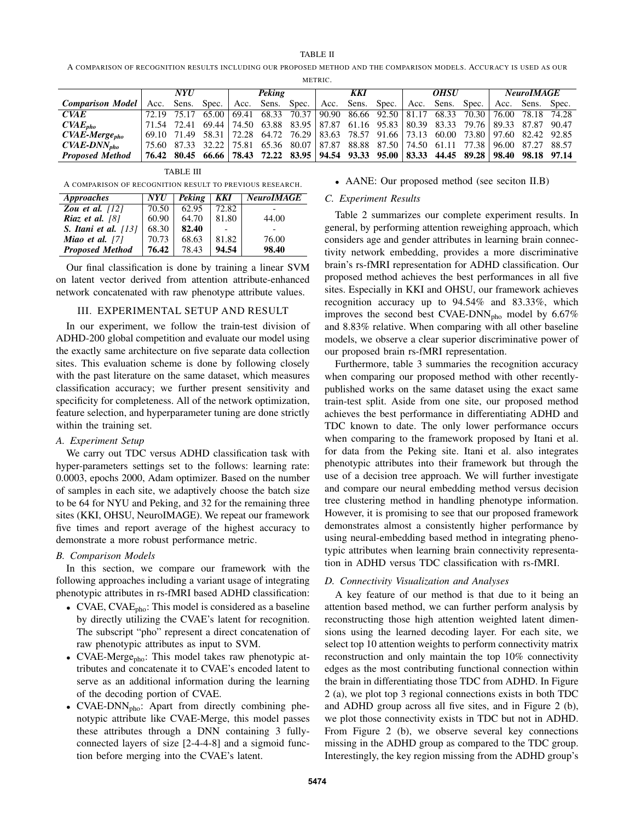TABLE II

A COMPARISON OF RECOGNITION RESULTS INCLUDING OUR PROPOSED METHOD AND THE COMPARISON MODELS. ACCURACY IS USED AS OUR **METRIC** 

|                                    | Peking<br><b>NYU</b> |       |                                                                                           | KKI |  | <i><b>OHSU</b></i>                                     |  |  | <b>NeuroIMAGE</b> |  |  |  |  |                   |  |
|------------------------------------|----------------------|-------|-------------------------------------------------------------------------------------------|-----|--|--------------------------------------------------------|--|--|-------------------|--|--|--|--|-------------------|--|
| <b>Comparison Model</b>            | Acc.                 | Sens. | Spec.                                                                                     |     |  | Acc. Sens. Spec.   Acc. Sens. Spec.   Acc. Sens. Spec. |  |  |                   |  |  |  |  | Acc. Sens. Spec.  |  |
| <b>CVAE</b>                        |                      |       | 72.19 75.17 65.00 69.41 68.33 70.37 90.90 86.66 92.50 81.17 68.33 70.30 76.00 78.18 74.28 |     |  |                                                        |  |  |                   |  |  |  |  |                   |  |
| $\mathbf{CVAE}_{\mathit{nho}}$     |                      |       | 71.54 72.41 69.44 74.50 63.88 83.95 87.87 61.16 95.83 80.39 83.33 79.76 89.33 87.87 90.47 |     |  |                                                        |  |  |                   |  |  |  |  |                   |  |
| $\textit{CVAE-Merge}_{pho}$        |                      |       | 69.10 71.49 58.31 72.28 64.72 76.29 83.63 78.57 91.66 73.13 60.00 73.80 97.60 82.42 92.85 |     |  |                                                        |  |  |                   |  |  |  |  |                   |  |
| $\textit{CVAE-DNN}_{\textit{nho}}$ |                      |       | 75.60 87.33 32.22 75.81 65.36 80.07 87.87 88.88 87.50 74.50 61.11 77.38                   |     |  |                                                        |  |  |                   |  |  |  |  | 96.00 87.27 88.57 |  |
| <b>Proposed Method</b>             |                      |       | 76.42 80.45 66.66 78.43 72.22 83.95 94.54 93.33 95.00 83.33 44.45 89.28 98.40 98.18 97.14 |     |  |                                                        |  |  |                   |  |  |  |  |                   |  |

TABLE III A COMPARISON OF RECOGNITION RESULT TO PREVIOUS RESEARCH.

| <i><b>Approaches</b></i> | NYU   | Peking | KKI   | <b>NeuroIMAGE</b> |
|--------------------------|-------|--------|-------|-------------------|
| Zou et al. $[12]$        | 70.50 | 62.95  | 72.82 |                   |
| Riaz et al. $[8]$        | 60.90 | 64.70  | 81.80 | 44.00             |
| S. Itani et al. $[13]$   | 68.30 | 82.40  |       |                   |
| Miao et al. $[7]$        | 70.73 | 68.63  | 81.82 | 76.00             |
| <b>Proposed Method</b>   | 76.42 | 78.43  | 94.54 | 98.40             |

Our final classification is done by training a linear SVM on latent vector derived from attention attribute-enhanced network concatenated with raw phenotype attribute values.

# III. EXPERIMENTAL SETUP AND RESULT

In our experiment, we follow the train-test division of ADHD-200 global competition and evaluate our model using the exactly same architecture on five separate data collection sites. This evaluation scheme is done by following closely with the past literature on the same dataset, which measures classification accuracy; we further present sensitivity and specificity for completeness. All of the network optimization, feature selection, and hyperparameter tuning are done strictly within the training set.

## *A. Experiment Setup*

We carry out TDC versus ADHD classification task with hyper-parameters settings set to the follows: learning rate: 0.0003, epochs 2000, Adam optimizer. Based on the number of samples in each site, we adaptively choose the batch size to be 64 for NYU and Peking, and 32 for the remaining three sites (KKI, OHSU, NeuroIMAGE). We repeat our framework five times and report average of the highest accuracy to demonstrate a more robust performance metric.

## *B. Comparison Models*

In this section, we compare our framework with the following approaches including a variant usage of integrating phenotypic attributes in rs-fMRI based ADHD classification:

- CVAE, CVAE<sub>pho</sub>: This model is considered as a baseline by directly utilizing the CVAE's latent for recognition. The subscript "pho" represent a direct concatenation of raw phenotypic attributes as input to SVM.
- CVAE-Merge<sub>pho</sub>: This model takes raw phenotypic attributes and concatenate it to CVAE's encoded latent to serve as an additional information during the learning of the decoding portion of CVAE.
- CVAE-DNN<sub>pho</sub>: Apart from directly combining phenotypic attribute like CVAE-Merge, this model passes these attributes through a DNN containing 3 fullyconnected layers of size [2-4-4-8] and a sigmoid function before merging into the CVAE's latent.

# • AANE: Our proposed method (see seciton II.B)

## *C. Experiment Results*

Table 2 summarizes our complete experiment results. In general, by performing attention reweighing approach, which considers age and gender attributes in learning brain connectivity network embedding, provides a more discriminative brain's rs-fMRI representation for ADHD classification. Our proposed method achieves the best performances in all five sites. Especially in KKI and OHSU, our framework achieves recognition accuracy up to 94.54% and 83.33%, which improves the second best CVAE-DNN<sub>pho</sub> model by  $6.67\%$ and 8.83% relative. When comparing with all other baseline models, we observe a clear superior discriminative power of our proposed brain rs-fMRI representation.

Furthermore, table 3 summaries the recognition accuracy when comparing our proposed method with other recentlypublished works on the same dataset using the exact same train-test split. Aside from one site, our proposed method achieves the best performance in differentiating ADHD and TDC known to date. The only lower performance occurs when comparing to the framework proposed by Itani et al. for data from the Peking site. Itani et al. also integrates phenotypic attributes into their framework but through the use of a decision tree approach. We will further investigate and compare our neural embedding method versus decision tree clustering method in handling phenotype information. However, it is promising to see that our proposed framework demonstrates almost a consistently higher performance by using neural-embedding based method in integrating phenotypic attributes when learning brain connectivity representation in ADHD versus TDC classification with rs-fMRI.

# *D. Connectivity Visualization and Analyses*

A key feature of our method is that due to it being an attention based method, we can further perform analysis by reconstructing those high attention weighted latent dimensions using the learned decoding layer. For each site, we select top 10 attention weights to perform connectivity matrix reconstruction and only maintain the top 10% connectivity edges as the most contributing functional connection within the brain in differentiating those TDC from ADHD. In Figure 2 (a), we plot top 3 regional connections exists in both TDC and ADHD group across all five sites, and in Figure 2 (b), we plot those connectivity exists in TDC but not in ADHD. From Figure 2 (b), we observe several key connections missing in the ADHD group as compared to the TDC group. Interestingly, the key region missing from the ADHD group's